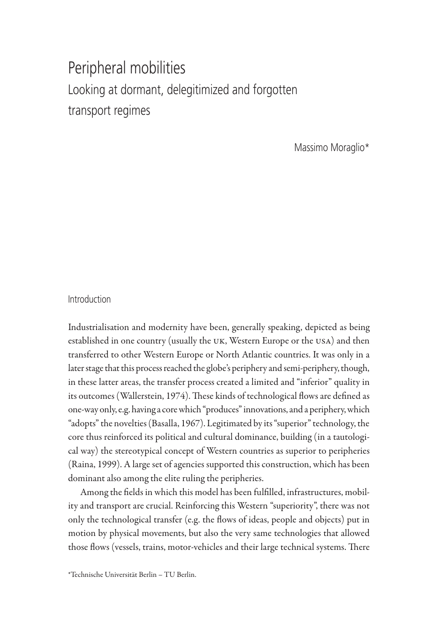# Peripheral mobilities Looking at dormant, delegitimized and forgotten transport regimes

Massimo Moraglio\*

## Introduction

Industrialisation and modernity have been, generally speaking, depicted as being established in one country (usually the uk, Western Europe or the usa) and then transferred to other Western Europe or North Atlantic countries. It was only in a later stage that this process reached the globe's periphery and semi-periphery, though, in these latter areas, the transfer process created a limited and "inferior" quality in its outcomes (Wallerstein, 1974). These kinds of technological flows are defined as one-way only, e.g. having a core which "produces" innovations, and a periphery, which "adopts" the novelties (Basalla, 1967). Legitimated by its "superior" technology, the core thus reinforced its political and cultural dominance, building (in a tautological way) the stereotypical concept of Western countries as superior to peripheries (Raina, 1999). A large set of agencies supported this construction, which has been dominant also among the elite ruling the peripheries.

Among the fields in which this model has been fulfilled, infrastructures, mobility and transport are crucial. Reinforcing this Western "superiority", there was not only the technological transfer (e.g. the flows of ideas, people and objects) put in motion by physical movements, but also the very same technologies that allowed those flows (vessels, trains, motor-vehicles and their large technical systems. There

\*Technische Universität Berlin – TU Berlin.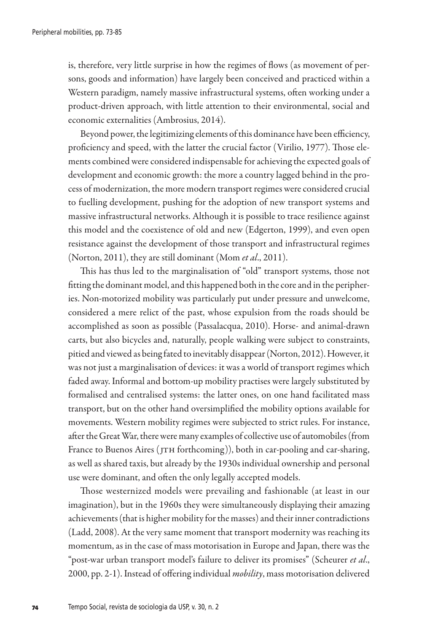is, therefore, very little surprise in how the regimes of flows (as movement of persons, goods and information) have largely been conceived and practiced within a Western paradigm, namely massive infrastructural systems, often working under a product-driven approach, with little attention to their environmental, social and economic externalities (Ambrosius, 2014).

Beyond power, the legitimizing elements of this dominance have been efficiency, proficiency and speed, with the latter the crucial factor (Virilio, 1977). Those elements combined were considered indispensable for achieving the expected goals of development and economic growth: the more a country lagged behind in the process of modernization, the more modern transport regimes were considered crucial to fuelling development, pushing for the adoption of new transport systems and massive infrastructural networks. Although it is possible to trace resilience against this model and the coexistence of old and new (Edgerton, 1999), and even open resistance against the development of those transport and infrastructural regimes (Norton, 2011), they are still dominant (Mom *et al*., 2011).

This has thus led to the marginalisation of "old" transport systems, those not fitting the dominant model, and this happened both in the core and in the peripheries. Non-motorized mobility was particularly put under pressure and unwelcome, considered a mere relict of the past, whose expulsion from the roads should be accomplished as soon as possible (Passalacqua, 2010). Horse- and animal-drawn carts, but also bicycles and, naturally, people walking were subject to constraints, pitied and viewed as being fated to inevitably disappear (Norton, 2012). However, it was not just a marginalisation of devices: it was a world of transport regimes which faded away. Informal and bottom-up mobility practises were largely substituted by formalised and centralised systems: the latter ones, on one hand facilitated mass transport, but on the other hand oversimplified the mobility options available for movements. Western mobility regimes were subjected to strict rules. For instance, after the Great War, there were many examples of collective use of automobiles (from France to Buenos Aires (JTH forthcoming)), both in car-pooling and car-sharing, as well as shared taxis, but already by the 1930s individual ownership and personal use were dominant, and often the only legally accepted models.

Those westernized models were prevailing and fashionable (at least in our imagination), but in the 1960s they were simultaneously displaying their amazing achievements (that is higher mobility for the masses) and their inner contradictions (Ladd, 2008). At the very same moment that transport modernity was reaching its momentum, as in the case of mass motorisation in Europe and Japan, there was the "post-war urban transport model's failure to deliver its promises" (Scheurer *et al*., 2000, pp. 2-1). Instead of offering individual *mobility*, mass motorisation delivered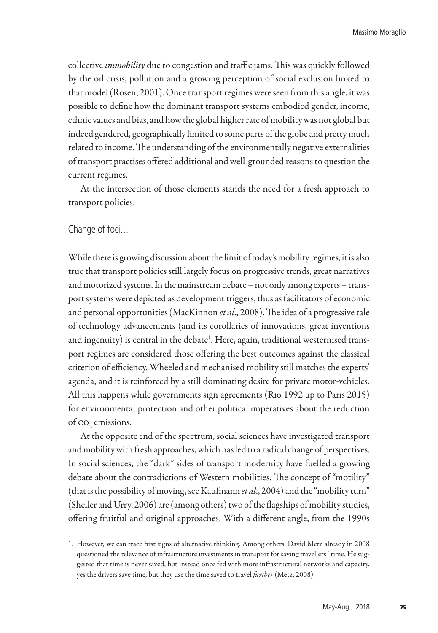collective *immobility* due to congestion and traffic jams. This was quickly followed by the oil crisis, pollution and a growing perception of social exclusion linked to that model (Rosen, 2001). Once transport regimes were seen from this angle, it was possible to define how the dominant transport systems embodied gender, income, ethnic values and bias, and how the global higher rate of mobility was not global but indeed gendered, geographically limited to some parts of the globe and pretty much related to income. The understanding of the environmentally negative externalities of transport practises offered additional and well-grounded reasons to question the current regimes.

At the intersection of those elements stands the need for a fresh approach to transport policies.

#### Change of foci…

While there is growing discussion about the limit of today's mobility regimes, it is also true that transport policies still largely focus on progressive trends, great narratives and motorized systems. In the mainstream debate – not only among experts – transport systems were depicted as development triggers, thus as facilitators of economic and personal opportunities (MacKinnon *et al*., 2008). The idea of a progressive tale of technology advancements (and its corollaries of innovations, great inventions and ingenuity) is central in the debate<sup>1</sup>. Here, again, traditional westernised transport regimes are considered those offering the best outcomes against the classical criterion of efficiency. Wheeled and mechanised mobility still matches the experts' agenda, and it is reinforced by a still dominating desire for private motor-vehicles. All this happens while governments sign agreements (Rio 1992 up to Paris 2015) for environmental protection and other political imperatives about the reduction of  $\text{co}_2$  emissions.

At the opposite end of the spectrum, social sciences have investigated transport and mobility with fresh approaches, which has led to a radical change of perspectives. In social sciences, the "dark" sides of transport modernity have fuelled a growing debate about the contradictions of Western mobilities. The concept of "motility" (that is the possibility of moving, see Kaufmann *et al*., 2004) and the "mobility turn" (Sheller and Urry, 2006) are (among others) two of the flagships of mobility studies, offering fruitful and original approaches. With a different angle, from the 1990s

<sup>1.</sup> However, we can trace first signs of alternative thinking. Among others, David Metz already in 2008 questioned the relevance of infrastructure investments in transport for saving travellers´ time. He suggested that time is never saved, but instead once fed with more infrastructural networks and capacity, yes the drivers save time, but they use the time saved to travel *further* (Metz, 2008).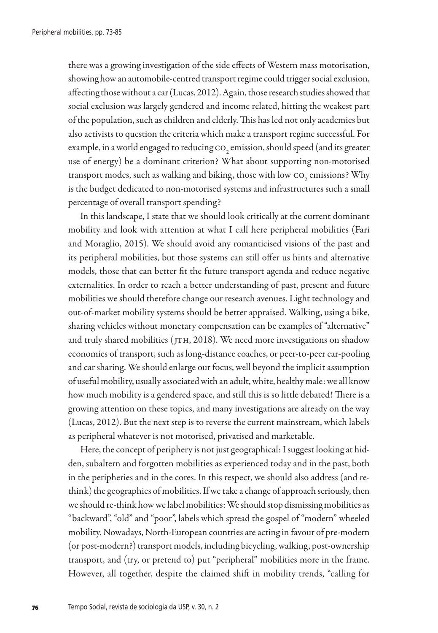there was a growing investigation of the side effects of Western mass motorisation, showing how an automobile-centred transport regime could trigger social exclusion, affecting those without a car (Lucas, 2012). Again, those research studies showed that social exclusion was largely gendered and income related, hitting the weakest part of the population, such as children and elderly. This has led not only academics but also activists to question the criteria which make a transport regime successful. For example, in a world engaged to reducing  ${\rm co}_{_2}$  emission, should speed (and its greater use of energy) be a dominant criterion? What about supporting non-motorised transport modes, such as walking and biking, those with low  ${\rm co}_{_2}$  emissions? Why is the budget dedicated to non-motorised systems and infrastructures such a small percentage of overall transport spending?

In this landscape, I state that we should look critically at the current dominant mobility and look with attention at what I call here peripheral mobilities (Fari and Moraglio, 2015). We should avoid any romanticised visions of the past and its peripheral mobilities, but those systems can still offer us hints and alternative models, those that can better fit the future transport agenda and reduce negative externalities. In order to reach a better understanding of past, present and future mobilities we should therefore change our research avenues. Light technology and out-of-market mobility systems should be better appraised. Walking, using a bike, sharing vehicles without monetary compensation can be examples of "alternative" and truly shared mobilities (JTH, 2018). We need more investigations on shadow economies of transport, such as long-distance coaches, or peer-to-peer car-pooling and car sharing. We should enlarge our focus, well beyond the implicit assumption of useful mobility, usually associated with an adult, white, healthy male: we all know how much mobility is a gendered space, and still this is so little debated! There is a growing attention on these topics, and many investigations are already on the way (Lucas, 2012). But the next step is to reverse the current mainstream, which labels as peripheral whatever is not motorised, privatised and marketable.

Here, the concept of periphery is not just geographical: I suggest looking at hidden, subaltern and forgotten mobilities as experienced today and in the past, both in the peripheries and in the cores. In this respect, we should also address (and rethink) the geographies of mobilities. If we take a change of approach seriously, then we should re-think how we label mobilities: We should stop dismissing mobilities as "backward", "old" and "poor", labels which spread the gospel of "modern" wheeled mobility. Nowadays, North-European countries are acting in favour of pre-modern (or post-modern?) transport models, including bicycling, walking, post-ownership transport, and (try, or pretend to) put "peripheral" mobilities more in the frame. However, all together, despite the claimed shift in mobility trends, "calling for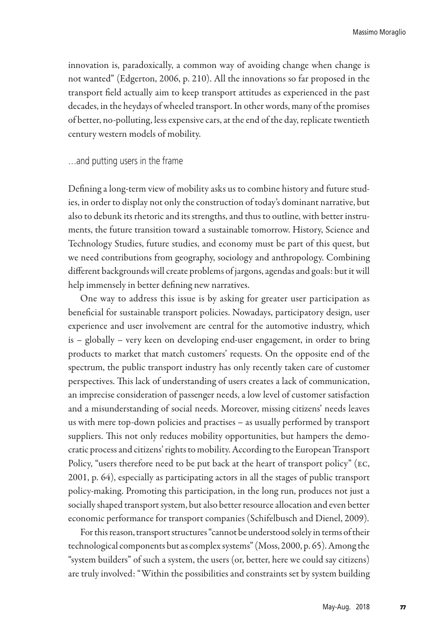innovation is, paradoxically, a common way of avoiding change when change is not wanted" (Edgerton, 2006, p. 210). All the innovations so far proposed in the transport field actually aim to keep transport attitudes as experienced in the past decades, in the heydays of wheeled transport. In other words, many of the promises of better, no-polluting, less expensive cars, at the end of the day, replicate twentieth century western models of mobility.

#### …and putting users in the frame

Defining a long-term view of mobility asks us to combine history and future studies, in order to display not only the construction of today's dominant narrative, but also to debunk its rhetoric and its strengths, and thus to outline, with better instruments, the future transition toward a sustainable tomorrow. History, Science and Technology Studies, future studies, and economy must be part of this quest, but we need contributions from geography, sociology and anthropology. Combining different backgrounds will create problems of jargons, agendas and goals: but it will help immensely in better defining new narratives.

One way to address this issue is by asking for greater user participation as beneficial for sustainable transport policies. Nowadays, participatory design, user experience and user involvement are central for the automotive industry, which is – globally – very keen on developing end-user engagement, in order to bring products to market that match customers' requests. On the opposite end of the spectrum, the public transport industry has only recently taken care of customer perspectives. This lack of understanding of users creates a lack of communication, an imprecise consideration of passenger needs, a low level of customer satisfaction and a misunderstanding of social needs. Moreover, missing citizens' needs leaves us with mere top-down policies and practises – as usually performed by transport suppliers. This not only reduces mobility opportunities, but hampers the democratic process and citizens' rights to mobility. According to the European Transport Policy, "users therefore need to be put back at the heart of transport policy" (EC, 2001, p. 64), especially as participating actors in all the stages of public transport policy-making. Promoting this participation, in the long run, produces not just a socially shaped transport system, but also better resource allocation and even better economic performance for transport companies (Schifelbusch and Dienel, 2009).

For this reason, transport structures "cannot be understood solely in terms of their technological components but as complex systems" (Moss, 2000, p. 65). Among the "system builders" of such a system, the users (or, better, here we could say citizens) are truly involved: "Within the possibilities and constraints set by system building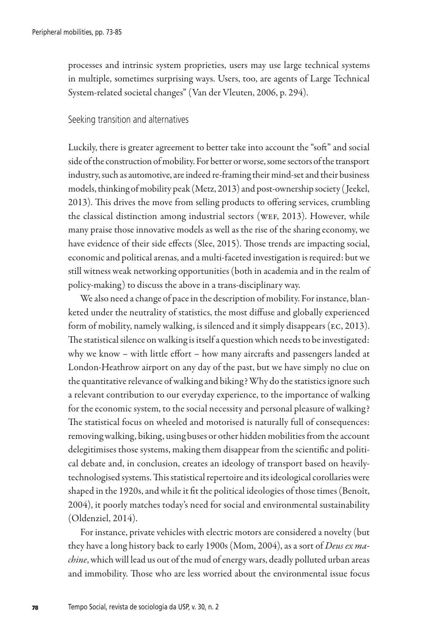processes and intrinsic system proprieties, users may use large technical systems in multiple, sometimes surprising ways. Users, too, are agents of Large Technical System-related societal changes" (Van der Vleuten, 2006, p. 294).

#### Seeking transition and alternatives

Luckily, there is greater agreement to better take into account the "soft" and social side of the construction of mobility. For better or worse, some sectors of the transport industry, such as automotive, are indeed re-framing their mind-set and their business models, thinking of mobility peak (Metz, 2013) and post-ownership society ( Jeekel, 2013). This drives the move from selling products to offering services, crumbling the classical distinction among industrial sectors (WEF, 2013). However, while many praise those innovative models as well as the rise of the sharing economy, we have evidence of their side effects (Slee, 2015). Those trends are impacting social, economic and political arenas, and a multi-faceted investigation is required: but we still witness weak networking opportunities (both in academia and in the realm of policy-making) to discuss the above in a trans-disciplinary way.

We also need a change of pace in the description of mobility. For instance, blanketed under the neutrality of statistics, the most diffuse and globally experienced form of mobility, namely walking, is silenced and it simply disappears (ec, 2013). The statistical silence on walking is itself a question which needs to be investigated: why we know – with little effort – how many aircrafts and passengers landed at London-Heathrow airport on any day of the past, but we have simply no clue on the quantitative relevance of walking and biking? Why do the statistics ignore such a relevant contribution to our everyday experience, to the importance of walking for the economic system, to the social necessity and personal pleasure of walking? The statistical focus on wheeled and motorised is naturally full of consequences: removing walking, biking, using buses or other hidden mobilities from the account delegitimises those systems, making them disappear from the scientific and political debate and, in conclusion, creates an ideology of transport based on heavilytechnologised systems. This statistical repertoire and its ideological corollaries were shaped in the 1920s, and while it fit the political ideologies of those times (Benoît, 2004), it poorly matches today's need for social and environmental sustainability (Oldenziel, 2014).

For instance, private vehicles with electric motors are considered a novelty (but they have a long history back to early 1900s (Mom, 2004), as a sort of *Deus ex machine*, which will lead us out of the mud of energy wars, deadly polluted urban areas and immobility. Those who are less worried about the environmental issue focus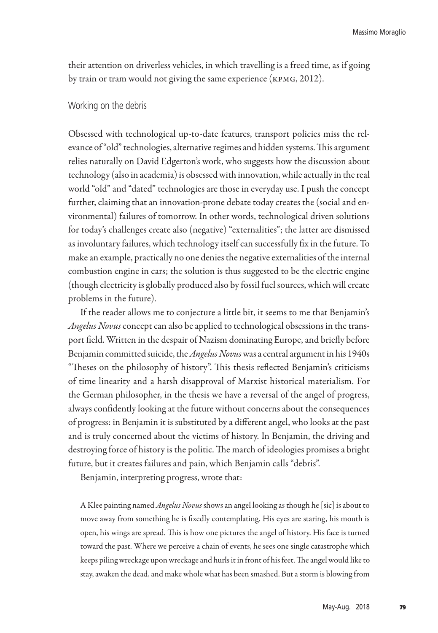their attention on driverless vehicles, in which travelling is a freed time, as if going by train or tram would not giving the same experience (kpmg, 2012).

#### Working on the debris

Obsessed with technological up-to-date features, transport policies miss the relevance of "old" technologies, alternative regimes and hidden systems. This argument relies naturally on David Edgerton's work, who suggests how the discussion about technology (also in academia) is obsessed with innovation, while actually in the real world "old" and "dated" technologies are those in everyday use. I push the concept further, claiming that an innovation-prone debate today creates the (social and environmental) failures of tomorrow. In other words, technological driven solutions for today's challenges create also (negative) "externalities"; the latter are dismissed as involuntary failures, which technology itself can successfully fix in the future. To make an example, practically no one denies the negative externalities of the internal combustion engine in cars; the solution is thus suggested to be the electric engine (though electricity is globally produced also by fossil fuel sources, which will create problems in the future).

If the reader allows me to conjecture a little bit, it seems to me that Benjamin's *Angelus Novus* concept can also be applied to technological obsessions in the transport field. Written in the despair of Nazism dominating Europe, and briefly before Benjamin committed suicide, the *Angelus Novus* was a central argument in his 1940s "Theses on the philosophy of history". This thesis reflected Benjamin's criticisms of time linearity and a harsh disapproval of Marxist historical materialism. For the German philosopher, in the thesis we have a reversal of the angel of progress, always confidently looking at the future without concerns about the consequences of progress: in Benjamin it is substituted by a different angel, who looks at the past and is truly concerned about the victims of history. In Benjamin, the driving and destroying force of history is the politic. The march of ideologies promises a bright future, but it creates failures and pain, which Benjamin calls "debris".

Benjamin, interpreting progress, wrote that:

A Klee painting named *Angelus Novus* shows an angel looking as though he [sic] is about to move away from something he is fixedly contemplating. His eyes are staring, his mouth is open, his wings are spread. This is how one pictures the angel of history. His face is turned toward the past. Where we perceive a chain of events, he sees one single catastrophe which keeps piling wreckage upon wreckage and hurls it in front of his feet. The angel would like to stay, awaken the dead, and make whole what has been smashed. But a storm is blowing from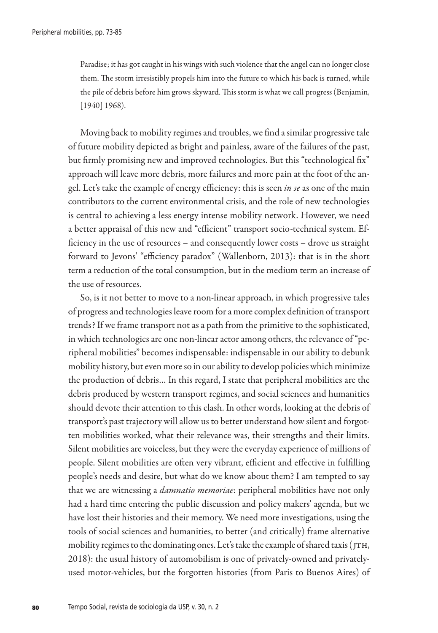Paradise; it has got caught in his wings with such violence that the angel can no longer close them. The storm irresistibly propels him into the future to which his back is turned, while the pile of debris before him grows skyward. This storm is what we call progress (Benjamin, [1940] 1968).

Moving back to mobility regimes and troubles, we find a similar progressive tale of future mobility depicted as bright and painless, aware of the failures of the past, but firmly promising new and improved technologies. But this "technological fix" approach will leave more debris, more failures and more pain at the foot of the angel. Let's take the example of energy efficiency: this is seen *in se* as one of the main contributors to the current environmental crisis, and the role of new technologies is central to achieving a less energy intense mobility network. However, we need a better appraisal of this new and "efficient" transport socio-technical system. Efficiency in the use of resources – and consequently lower costs – drove us straight forward to Jevons' "efficiency paradox" (Wallenborn, 2013): that is in the short term a reduction of the total consumption, but in the medium term an increase of the use of resources.

So, is it not better to move to a non-linear approach, in which progressive tales of progress and technologies leave room for a more complex definition of transport trends? If we frame transport not as a path from the primitive to the sophisticated, in which technologies are one non-linear actor among others, the relevance of "peripheral mobilities" becomes indispensable: indispensable in our ability to debunk mobility history, but even more so in our ability to develop policies which minimize the production of debris… In this regard, I state that peripheral mobilities are the debris produced by western transport regimes, and social sciences and humanities should devote their attention to this clash. In other words, looking at the debris of transport's past trajectory will allow us to better understand how silent and forgotten mobilities worked, what their relevance was, their strengths and their limits. Silent mobilities are voiceless, but they were the everyday experience of millions of people. Silent mobilities are often very vibrant, efficient and effective in fulfilling people's needs and desire, but what do we know about them? I am tempted to say that we are witnessing a *damnatio memoriae*: peripheral mobilities have not only had a hard time entering the public discussion and policy makers' agenda, but we have lost their histories and their memory. We need more investigations, using the tools of social sciences and humanities, to better (and critically) frame alternative mobility regimes to the dominating ones. Let's take the example of shared taxis (JTH, 2018): the usual history of automobilism is one of privately-owned and privatelyused motor-vehicles, but the forgotten histories (from Paris to Buenos Aires) of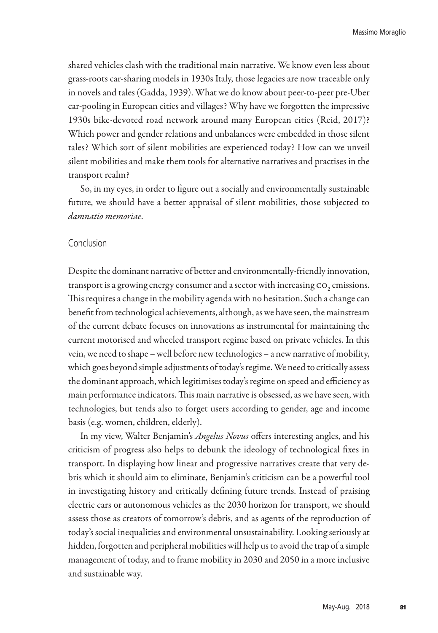shared vehicles clash with the traditional main narrative. We know even less about grass-roots car-sharing models in 1930s Italy, those legacies are now traceable only in novels and tales (Gadda, 1939). What we do know about peer-to-peer pre-Uber car-pooling in European cities and villages? Why have we forgotten the impressive 1930s bike-devoted road network around many European cities (Reid, 2017)? Which power and gender relations and unbalances were embedded in those silent tales? Which sort of silent mobilities are experienced today? How can we unveil silent mobilities and make them tools for alternative narratives and practises in the transport realm?

So, in my eyes, in order to figure out a socially and environmentally sustainable future, we should have a better appraisal of silent mobilities, those subjected to *damnatio memoriae*.

### Conclusion

Despite the dominant narrative of better and environmentally-friendly innovation, transport is a growing energy consumer and a sector with increasing  ${\rm co}_{_2}$  emissions. This requires a change in the mobility agenda with no hesitation. Such a change can benefit from technological achievements, although, as we have seen, the mainstream of the current debate focuses on innovations as instrumental for maintaining the current motorised and wheeled transport regime based on private vehicles. In this vein, we need to shape – well before new technologies – a new narrative of mobility, which goes beyond simple adjustments of today's regime. We need to critically assess the dominant approach, which legitimises today's regime on speed and efficiency as main performance indicators. This main narrative is obsessed, as we have seen, with technologies, but tends also to forget users according to gender, age and income basis (e.g. women, children, elderly).

In my view, Walter Benjamin's *Angelus Novus* offers interesting angles, and his criticism of progress also helps to debunk the ideology of technological fixes in transport. In displaying how linear and progressive narratives create that very debris which it should aim to eliminate, Benjamin's criticism can be a powerful tool in investigating history and critically defining future trends. Instead of praising electric cars or autonomous vehicles as the 2030 horizon for transport, we should assess those as creators of tomorrow's debris, and as agents of the reproduction of today's social inequalities and environmental unsustainability. Looking seriously at hidden, forgotten and peripheral mobilities will help us to avoid the trap of a simple management of today, and to frame mobility in 2030 and 2050 in a more inclusive and sustainable way.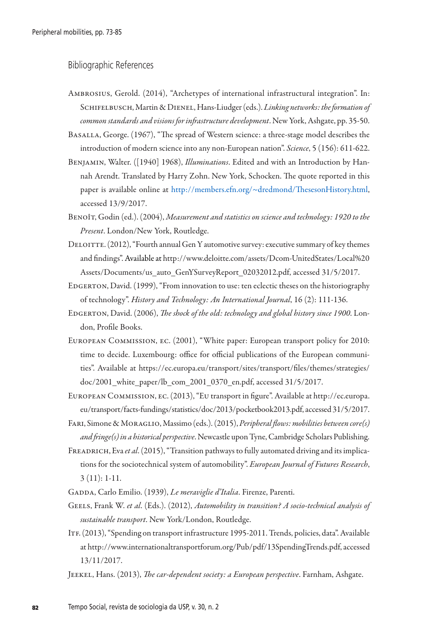## Bibliographic References

- Ambrosius, Gerold. (2014), "Archetypes of international infrastructural integration". In: Schifelbusch, Martin & Dienel, Hans-Liudger (eds.). *Linking networks: the formation of common standards and visions for infrastructure development*. New York, Ashgate, pp. 35-50.
- Basalla, George. (1967), "The spread of Western science: a three-stage model describes the introduction of modern science into any non-European nation". *Science*, 5 (156): 611-622.
- Benjamin, Walter. ([1940] 1968), *Illuminations*. Edited and with an Introduction by Hannah Arendt. Translated by Harry Zohn. New York, Schocken. The quote reported in this paper is available online at http://members.efn.org/~dredmond/ThesesonHistory.html, accessed 13/9/2017.
- Benoît, Godin (ed.). (2004), *Measurement and statistics on science and technology: 1920 to the Present*. London/New York, Routledge.
- DELOITTE. (2012), "Fourth annual Gen Y automotive survey: executive summary of key themes and findings". Available at http://www.deloitte.com/assets/Dcom-UnitedStates/Local%20 Assets/Documents/us\_auto\_GenYSurveyReport\_02032012.pdf, accessed 31/5/2017.
- EDGERTON, David. (1999), "From innovation to use: ten eclectic theses on the historiography of technology". *History and Technology: An International Journal*, 16 (2): 111-136.
- Edgerton, David. (2006), *The shock of the old: technology and global history since 1900*. London, Profile Books.
- European Commission, ec. (2001), "White paper: European transport policy for 2010: time to decide. Luxembourg: office for official publications of the European communities". Available at https://ec.europa.eu/transport/sites/transport/files/themes/strategies/ doc/2001\_white\_paper/lb\_com\_2001\_0370\_en.pdf, accessed 31/5/2017.
- European Commission, ec. (2013), "Eu transport in figure". Available at http://ec.europa. eu/transport/facts-fundings/statistics/doc/2013/pocketbook2013.pdf, accessed 31/5/2017.
- Fari, Simone & Moraglio, Massimo (eds.). (2015), *Peripheral flows: mobilities between core(s) and fringe(s) in a historical perspective*. Newcastle upon Tyne, Cambridge Scholars Publishing.
- Freadrich, Eva *et al*. (2015), "Transition pathways to fully automated driving and its implications for the sociotechnical system of automobility". *European Journal of Futures Research*, 3 (11): 1-11.
- GADDA, Carlo Emilio. (1939), *Le meraviglie d'Italia*. Firenze, Parenti.
- GEELS, Frank W. et al. (Eds.). (2012), *Automobility in transition? A socio-technical analysis of sustainable transport*. New York/London, Routledge.
- ITF. (2013), "Spending on transport infrastructure 1995-2011. Trends, policies, data". Available at http://www.internationaltransportforum.org/Pub/pdf/13SpendingTrends.pdf, accessed 13/11/2017.
- Jeekel, Hans. (2013), *The car-dependent society: a European perspective*. Farnham, Ashgate.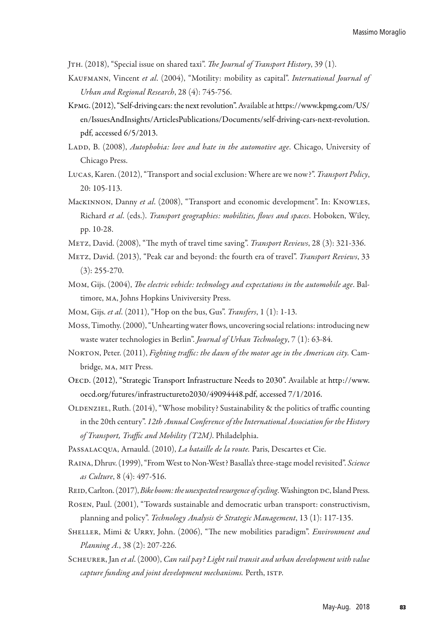Jth. (2018), "Special issue on shared taxi". *The Journal of Transport History*, 39 (1).

- Kaufmann, Vincent *et al*. (2004), "Motility: mobility as capital". *International Journal of Urban and Regional Research*, 28 (4): 745-756.
- Kpmg. (2012), "Self-driving cars: the next revolution". Available at https://www.kpmg.com/US/ en/IssuesAndInsights/ArticlesPublications/Documents/self-driving-cars-next-revolution. pdf, accessed 6/5/2013.
- LADD, B. (2008), *Autophobia: love and hate in the automotive age*. Chicago, University of Chicago Press.
- Lucas, Karen. (2012), "Transport and social exclusion: Where are we now?". *Transport Policy*, 20: 105-113.
- Mackinnon, Danny *et al*. (2008), "Transport and economic development". In: Knowles, Richard *et al*. (eds.). *Transport geographies: mobilities, flows and spaces*. Hoboken, Wiley, pp. 10-28.
- Metz, David. (2008), "The myth of travel time saving". *Transport Reviews*, 28 (3): 321-336.
- Metz, David. (2013), "Peak car and beyond: the fourth era of travel". *Transport Reviews*, 33 (3): 255-270.
- Mom, Gijs. (2004), *The electric vehicle: technology and expectations in the automobile age*. Baltimore, ma, Johns Hopkins Univiversity Press.
- Mom, Gijs. *et al*. (2011), "Hop on the bus, Gus". *Transfers*, 1 (1): 1-13.
- Moss, Timothy. (2000), "Unhearting water flows, uncovering social relations: introducing new waste water technologies in Berlin". *Journal of Urban Technology*, 7 (1): 63-84.
- Norton, Peter. (2011), *Fighting traffic: the dawn of the motor age in the American city.* Cambridge, ma, mit Press.
- OECD. (2012), "Strategic Transport Infrastructure Needs to 2030". Available at http://www. oecd.org/futures/infrastructureto2030/49094448.pdf, accessed 7/1/2016.
- OLDENZIEL, Ruth.  $(2014)$ , "Whose mobility? Sustainability & the politics of traffic counting in the 20th century". *12th Annual Conference of the International Association for the History of Transport, Traffic and Mobility (T2M)*. Philadelphia.
- Passalacqua, Arnauld. (2010), *La bataille de la route.* Paris, Descartes et Cie.
- Raina, Dhruv. (1999), "From West to Non-West? Basalla's three-stage model revisited". *Science as Culture*, 8 (4): 497-516.
- REID, Carlton. (2017), *Bike boom: the unexpected resurgence of cycling*. Washington DC, Island Press.
- Rosen, Paul. (2001), "Towards sustainable and democratic urban transport: constructivism, planning and policy". *Technology Analysis & Strategic Management*, 13 (1): 117-135.
- SHELLER, Mimi & URRY, John. (2006), "The new mobilities paradigm". Environment and *Planning A.*, 38 (2): 207-226.
- Scheurer, Jan *et al*. (2000), *Can rail pay? Light rail transit and urban development with value capture funding and joint development mechanisms.* Perth, ISTP.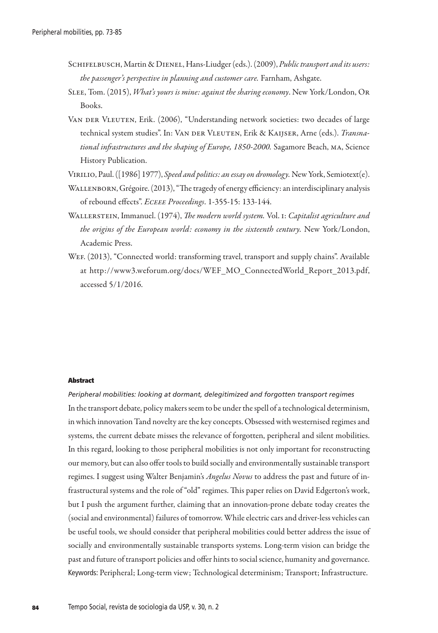- Schifelbusch, Martin & Dienel, Hans-Liudger (eds.). (2009), *Public transport and its users: the passenger's perspective in planning and customer care.* Farnham, Ashgate.
- Slee, Tom. (2015), *What's yours is mine: against the sharing economy*. New York/London, Or Books.
- VAN DER VLEUTEN, Erik. (2006), "Understanding network societies: two decades of large technical system studies". In: VAN DER VLEUTEN, Erik & KAIJSER, Arne (eds.). *Transnational infrastructures and the shaping of Europe, 1850-2000.* Sagamore Beach, ma, Science History Publication.
- Virilio, Paul. ([1986] 1977), *Speed and politics: an essay on dromology.* New York, Semiotext(e).
- Wallenborn, Grégoire. (2013), "The tragedy of energy efficiency: an interdisciplinary analysis of rebound effects". *Eceee Proceedings*. 1-355-15: 133-144.
- Wallerstein, Immanuel. (1974), *The modern world system.* Vol. i: *Capitalist agriculture and the origins of the European world: economy in the sixteenth century.* New York/London, Academic Press.
- WEF. (2013), "Connected world: transforming travel, transport and supply chains". Available at http://www3.weforum.org/docs/WEF\_MO\_ConnectedWorld\_Report\_2013.pdf, accessed 5/1/2016.

#### Abstract

*Peripheral mobilities: looking at dormant, delegitimized and forgotten transport regimes* In the transport debate, policy makers seem to be under the spell of a technological determinism, in which innovation Tand novelty are the key concepts. Obsessed with westernised regimes and systems, the current debate misses the relevance of forgotten, peripheral and silent mobilities. In this regard, looking to those peripheral mobilities is not only important for reconstructing our memory, but can also offer tools to build socially and environmentally sustainable transport regimes. I suggest using Walter Benjamin's *Angelus Novus* to address the past and future of infrastructural systems and the role of "old" regimes. This paper relies on David Edgerton's work, but I push the argument further, claiming that an innovation-prone debate today creates the (social and environmental) failures of tomorrow. While electric cars and driver-less vehicles can be useful tools, we should consider that peripheral mobilities could better address the issue of socially and environmentally sustainable transports systems. Long-term vision can bridge the past and future of transport policies and offer hints to social science, humanity and governance. Keywords: Peripheral; Long-term view; Technological determinism; Transport; Infrastructure.